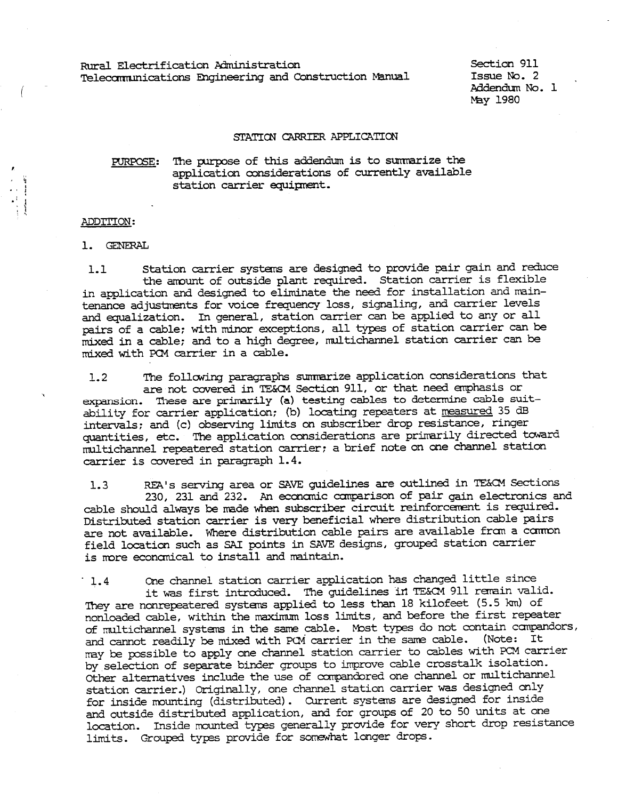Rural Electrification Administration<br>
Telecommunications Engineering and Construction Manual Issue No. 2<br>
Madendum No. 1<br>
May 1980<br>
STATTON CARRIER APPLICATION<br>
PURPOSE: The purpose of this addendum is to summarize the<br>
ap

## ADDTI'ION:

• I

1. GENERAL

1.1 Station carrier systans are designed to provide pair gain and reduce the amount of outside plant required. Station carrier is flexible in application and designed to eliminate the need for installation and maintenance adjustments for voice frequency loss, signaling, and carrier levels and equalization. In general, station carrier can be applied to any or all pairs of a cable; with minor exceptions, all types of station carrier can be mixed in a cable; and to a high degree, multichannel station carrier can be mixed with PCM carrier in a cable.

1. 2 The follaving paragraphs sumnarize application considerations that are not covered in TE&CM Section 911, or that need emphasis or expansion. These are primarily (a) testing cables to determine cable suitability for carrier application; (b) locating repeaters at measured 35 dB intervals; and (c) observing limits on subscriber drop resistance, ringer quantities, etc. The application considerations are primarily directed toward rnul tichannel repeatered station carrier; a brief note on one channel station carrier is covered in paragraph 1. 4.

1.3 REA's serving area or SAVE guidelines are outlined in TE&CM Sections 230, 231 and 232. An econanic canparison of pair gain electronics and cable should always be made when subscriber circuit reinforcement is required. Distributed station carrier is very beneficial where distribution cable pairs are not available. Where distribution cable pairs are available from a common field location such as SAI points in SAVE designs, grouped station carrier is more economical to install and maintain.

· 1. 4 One channel station carrier application has changed little since it was first introduced. The guidelines in TE&CM 911 remain valid. They are nonrepeatered systems applied to less than 18 kilofeet (5.5 km) of nonloaded cable, within the maximum loss limits, and before the first repeater of multichannel systems in the same cable. Most types do not contain compandors, and cannot readily be mixed with PCM carrier in the same cable. (Note: It may be possible to apply one channel station carrier to cables with PCM carrier by selection of separate binder groups to improve cable crosstalk isolation. other alternatives include the use of compandored one channel or multichannel station carrier.) Originally, one channel station carrier was designed only for inside mounting (distributed). Current systems are designed for inside and outside distributed application, and for groups of 20 to 50 units at one location. Inside mounted types generally provide for very short drop resistance limits. Grouped types provide for somewhat longer drops.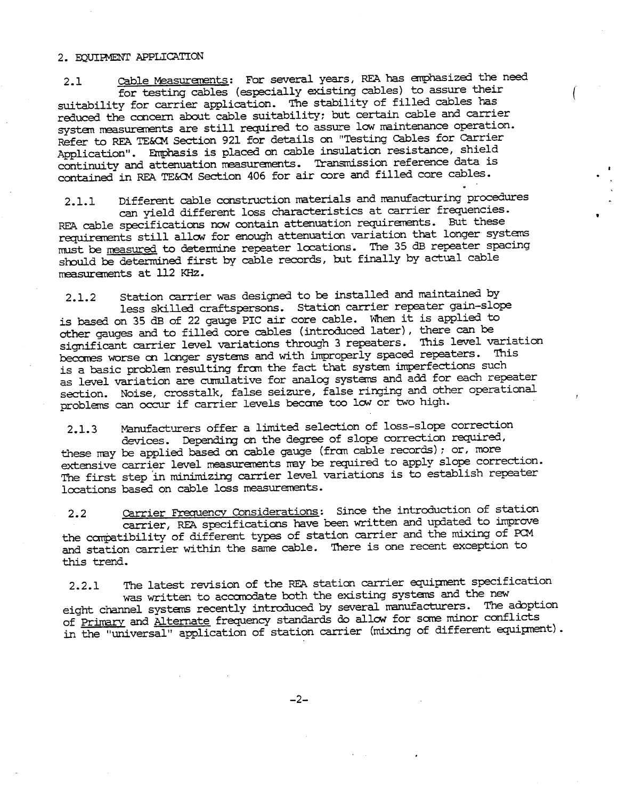## 2. BOUIPMENT APPLICATION

2.1 cable Measuranents: For several years, REA has anphasized the need for testing cables (especially existing cables) to assure their suitability for carrier application. The stability of filled cables has reduced the concern about cable suitability; but certain cable and carrier system measurements are still required to assure low maintenance operation. Refer to REA TE&CM Section 921 for details on "Testing cables for carrier Application". Emphasis is placed on cable insulation resistance, shield continuity and attenuation measurements. Transmission reference data is contained in REA TE&CM Section 406 for air core and filled core cables.

2.1.1 Different cable construction materials and manufacturing procedures can yield different loss characteristics at carrier frequencies. REA cable specifications now contain attenuation requirements. But these requirements still allow for enough attenuation variation that longer systems must be measured to detennine repeater locations. The 35 dB repeater spacing should be determined first by cable records, but finally by actual cable measurements at 112 KHz.

2.1.2 Station carrier was designed to be installed and maintained by less skilled craftspersons. Station carrier repeater gain-slope is based on 35 dB of 22 gauge PIC air core cable. When it is applied to other gauges and to filled core cables (introduced later), there can be significant carrier level variations through 3 repeaters. 'Ihis level variation becomes worse on longer systems and with improperly spaced repeaters. This is a basic problem resulting fran the fact that system imperfections such as level variation are cumulative for analog systems and add for each repeater section. Noise, crosstalk, false seizure, false ringing and other operational problems can occur if carrier levels become too low or two high.

2.1. 3 Manufacturers offer a limited selection of loss-slope correction devices. Depending on the degree of slope correction required, these may be applied based on cable gauge (from cable records); or, more extensive carrier level measurements may be required to apply slope correction. The first step in minimizing carrier level variations is to establish repeater locations based on cable loss measurements.

2.2 Carrier Frequency Considerations: Since the introduction of station carrier, REA specifications have been written and updated to improve the compatibility of different types of station carrier and the mixing of PCM and station carrier within the same cable. 'Ihere is one recent exception to this trend.

2.2.1 The latest revision of the REA station carrier equipment specification was written to accanodate both the existing systems and the new eight channel systems recently introduced by several manufacturers. The adoption of Primary and Alternate frequency standards do allow for some minor conflicts in the "universal" application of station carrier (mixing of different equipnent) .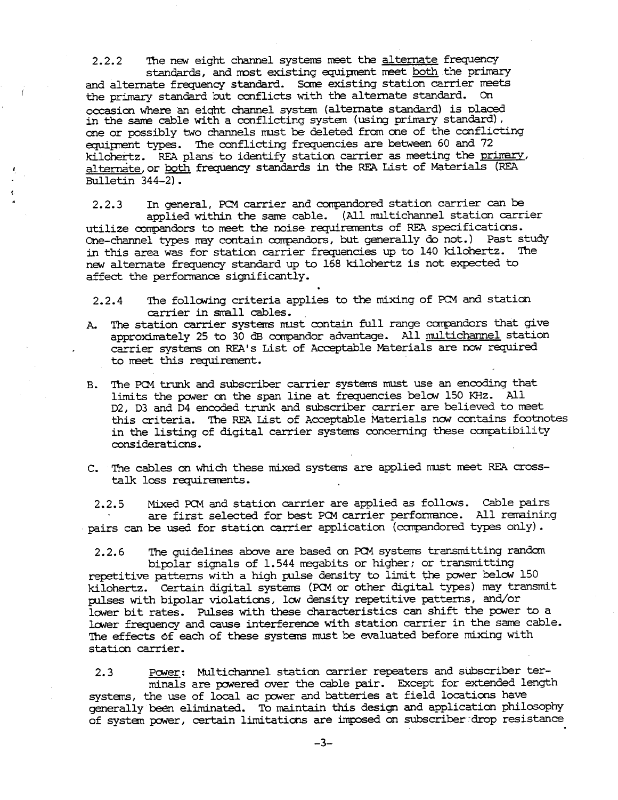2.2.2 The new eight channel systems meet the alternate frequency standards, and most existing equipment meet both the primary and alternate frequency standard. Some existing station carrier meets the primary standard but conflicts with the alternate standard. On occasion where an eiqht channel svstem (alternate standard) is placed in the sane cable with a conflicting system (using primary standard} , one or possibly two channels must be deleted from one of the conflicting equipment types. The conflicting frequencies are between 60 and 72 kilohertz. REA plans to identify station carrier as meeting the primary, alternate, or both frequency standards in the REA List of Materials (REA Bulletin 344-2).

2.2.3 In general, PCM carrier and compandored station carrier can be applied within the same cable. (All multichannel station carrier utilize oorrpandors to meet the noise requirements of REA specifications. One-channel types may contain compandors, but generally do not.) Past study in this area was for station carrier frequencies up to 140 kilohertz. The new alternate frequency standard up to 168 kilohertz is not expected to affect the performance significantly.

- 2.2.4 The following criteria applies to the mixing of PCM and station carrier in small cables.
- A. 'Ihe station carrier systems must contain full range canpandors that give approximately 25 to 30 dB compandor advantage. All multichannel station carrier systems on REA's List of Acceptable Materials are now required to meet this requirement.
- B. The PCM trunk and subscriber carrier systems must use an encoding that limits the power on the span line at frequencies below 150 KHz. All D2, D3 and D4 encoded trunk and subscriber carrier are believed to meet this criteria. The REA List of Acceptable Materials now contains footnotes in the listing of digital carrier systems concerning these compatibility considerations.
- c. The cables on which these mixed systems are applied must meet REA crosstalk loss requirements.

2.2.5 Mixed PCM and station carrier are applied as follows. Cable pairs are first selected for best PCM carrier performance. All remaining pairs can be used for station carrier application (canpandored types only).

2.2.6 'Ihe guidelines above are based on PCM systems transmitting randan bipolar signals of 1.544 megabits or higher; or transmitting repetitive patterns with a high pulse density to limit the power below 150 kilohertz. Certain digital systems (PCM or other digital types) may transmit pulses with bipolar violations, low density repetitive patterns, and/or lower bit rates. Pulses with these characteristics can shift the power to a lower frequency and cause interference with station carrier in the same cable. The effects of each of these systems must be evaluated before mixing with station carrier.

2.3 Power: Multichannel station carrier repeaters and subscriber terminals are powered over the cable pair. Except for extended length systems, the use of local ac power and batteries at field locations have generally been eliminated. To maintain this design and application philosophy of system power, certain limitations are imposed on subscriber drop resistance

-3-